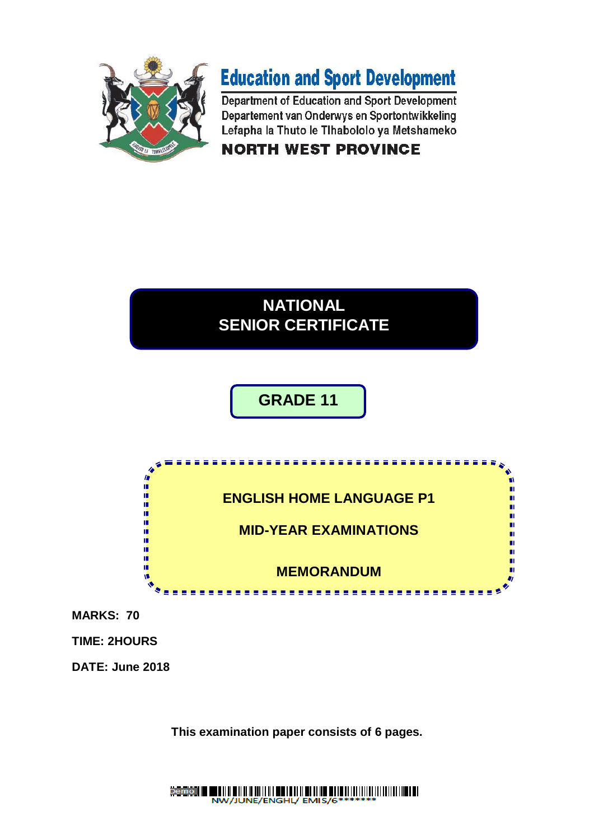



Department of Education and Sport Development Departement van Onderwys en Sportontwikkeling Lefapha la Thuto le Tihabololo ya Metshameko **NORTH WEST PROVINCE** 

## **NATIONAL SENIOR CERTIFICATE**

# **GRADE 11**



**MARKS: 70**

**TIME: 2HOURS**

**DATE: June 2018**

**This examination paper consists of 6 pages.**

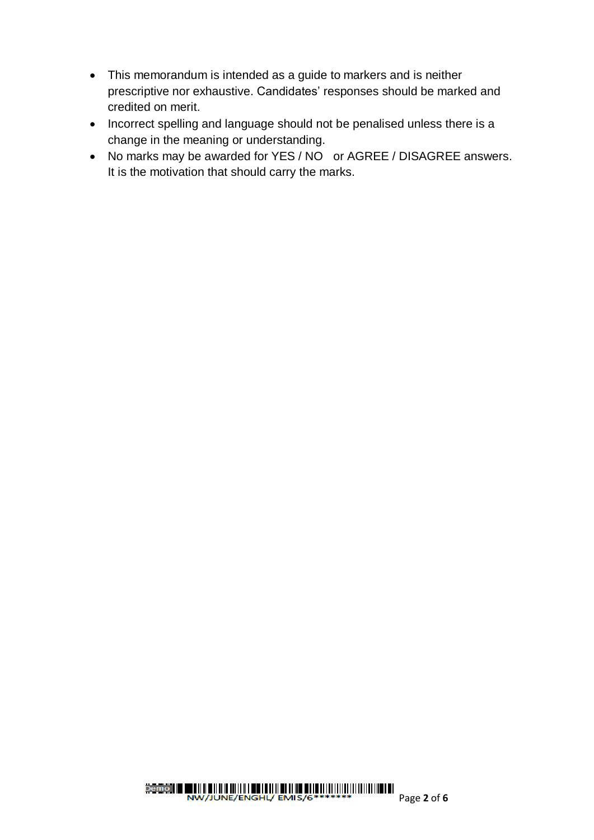- This memorandum is intended as a guide to markers and is neither prescriptive nor exhaustive. Candidates' responses should be marked and credited on merit.
- Incorrect spelling and language should not be penalised unless there is a change in the meaning or understanding.
- No marks may be awarded for YES / NO or AGREE / DISAGREE answers. It is the motivation that should carry the marks.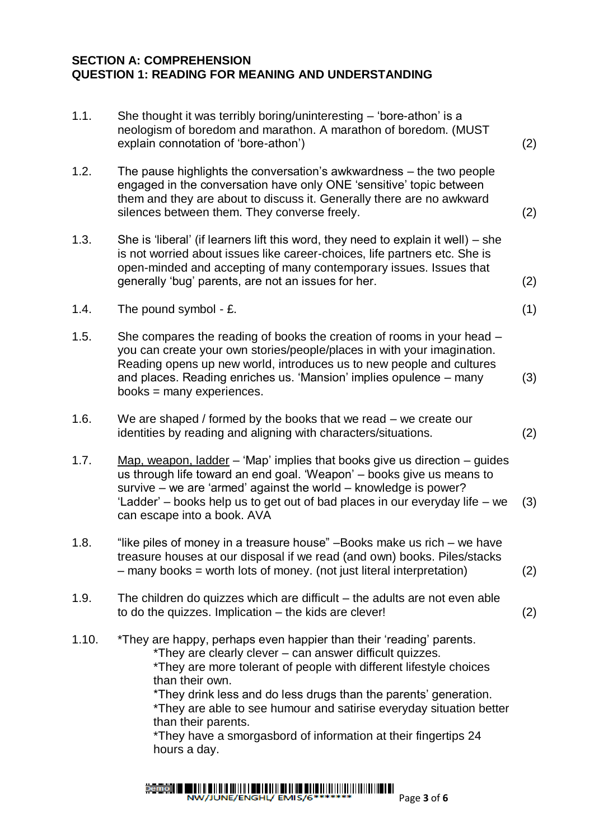#### **SECTION A: COMPREHENSION QUESTION 1: READING FOR MEANING AND UNDERSTANDING**

| 1.1.  | She thought it was terribly boring/uninteresting $-$ 'bore-athon' is a<br>neologism of boredom and marathon. A marathon of boredom. (MUST<br>explain connotation of 'bore-athon')                                                                                                                                                                                                                                                                                            | (2) |
|-------|------------------------------------------------------------------------------------------------------------------------------------------------------------------------------------------------------------------------------------------------------------------------------------------------------------------------------------------------------------------------------------------------------------------------------------------------------------------------------|-----|
| 1.2.  | The pause highlights the conversation's awkwardness – the two people<br>engaged in the conversation have only ONE 'sensitive' topic between<br>them and they are about to discuss it. Generally there are no awkward<br>silences between them. They converse freely.                                                                                                                                                                                                         | (2) |
| 1.3.  | She is 'liberal' (if learners lift this word, they need to explain it well) $-$ she<br>is not worried about issues like career-choices, life partners etc. She is<br>open-minded and accepting of many contemporary issues. Issues that<br>generally 'bug' parents, are not an issues for her.                                                                                                                                                                               | (2) |
| 1.4.  | The pound symbol - £.                                                                                                                                                                                                                                                                                                                                                                                                                                                        | (1) |
| 1.5.  | She compares the reading of books the creation of rooms in your head -<br>you can create your own stories/people/places in with your imagination.<br>Reading opens up new world, introduces us to new people and cultures<br>and places. Reading enriches us. 'Mansion' implies opulence – many<br>books = $many$ experiences.                                                                                                                                               | (3) |
| 1.6.  | We are shaped / formed by the books that we read $-$ we create our<br>identities by reading and aligning with characters/situations.                                                                                                                                                                                                                                                                                                                                         | (2) |
| 1.7.  | Map, weapon, ladder $-$ 'Map' implies that books give us direction $-$ guides<br>us through life toward an end goal. 'Weapon' – books give us means to<br>survive – we are 'armed' against the world – knowledge is power?<br>'Ladder' – books help us to get out of bad places in our everyday life – we<br>can escape into a book. AVA                                                                                                                                     | (3) |
| 1.8.  | "like piles of money in a treasure house" - Books make us rich - we have<br>treasure houses at our disposal if we read (and own) books. Piles/stacks<br>$-$ many books = worth lots of money. (not just literal interpretation)                                                                                                                                                                                                                                              | (2) |
| 1.9.  | The children do quizzes which are difficult $-$ the adults are not even able<br>to do the quizzes. Implication $-$ the kids are clever!                                                                                                                                                                                                                                                                                                                                      | (2) |
| 1.10. | *They are happy, perhaps even happier than their 'reading' parents.<br>*They are clearly clever – can answer difficult quizzes.<br>*They are more tolerant of people with different lifestyle choices<br>than their own.<br>*They drink less and do less drugs than the parents' generation.<br>*They are able to see humour and satirise everyday situation better<br>than their parents.<br>*They have a smorgasbord of information at their fingertips 24<br>hours a day. |     |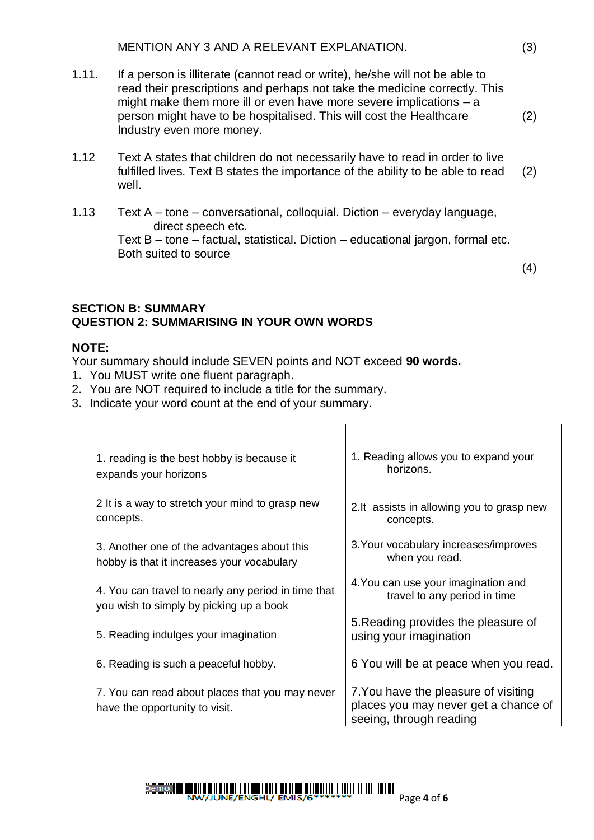- 1.11. If a person is illiterate (cannot read or write), he/she will not be able to read their prescriptions and perhaps not take the medicine correctly. This might make them more ill or even have more severe implications – a person might have to be hospitalised. This will cost the Healthcare Industry even more money.
- 1.12 Text A states that children do not necessarily have to read in order to live fulfilled lives. Text B states the importance of the ability to be able to read well. (2)
- 1.13 Text A tone conversational, colloquial. Diction everyday language, direct speech etc. Text B – tone – factual, statistical. Diction – educational jargon, formal etc. Both suited to source

(4)

#### **SECTION B: SUMMARY QUESTION 2: SUMMARISING IN YOUR OWN WORDS**

#### **NOTE:**

Your summary should include SEVEN points and NOT exceed **90 words.**

- 1. You MUST write one fluent paragraph.
- 2. You are NOT required to include a title for the summary.
- 3. Indicate your word count at the end of your summary.

| 1. reading is the best hobby is because it                                        | 1. Reading allows you to expand your                                                                    |
|-----------------------------------------------------------------------------------|---------------------------------------------------------------------------------------------------------|
| expands your horizons                                                             | horizons.                                                                                               |
| 2 It is a way to stretch your mind to grasp new                                   | 2.It assists in allowing you to grasp new                                                               |
| concepts.                                                                         | concepts.                                                                                               |
| 3. Another one of the advantages about this                                       | 3. Your vocabulary increases/improves                                                                   |
| hobby is that it increases your vocabulary                                        | when you read.                                                                                          |
| 4. You can travel to nearly any period in time that                               | 4. You can use your imagination and                                                                     |
| you wish to simply by picking up a book                                           | travel to any period in time                                                                            |
| 5. Reading indulges your imagination                                              | 5. Reading provides the pleasure of<br>using your imagination                                           |
| 6. Reading is such a peaceful hobby.                                              | 6 You will be at peace when you read.                                                                   |
| 7. You can read about places that you may never<br>have the opportunity to visit. | 7. You have the pleasure of visiting<br>places you may never get a chance of<br>seeing, through reading |

(2)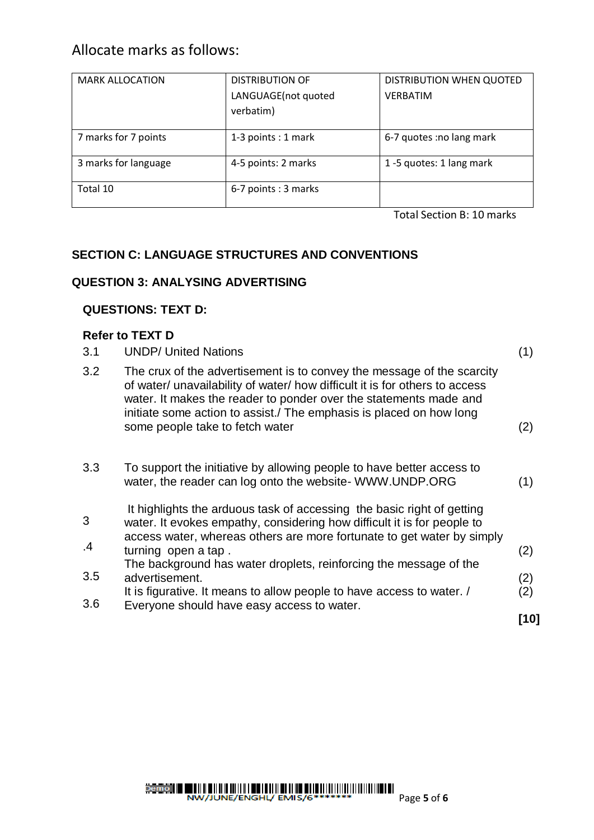### Allocate marks as follows:

| <b>MARK ALLOCATION</b> | <b>DISTRIBUTION OF</b> | DISTRIBUTION WHEN QUOTED  |
|------------------------|------------------------|---------------------------|
|                        | LANGUAGE(not quoted    | <b>VERBATIM</b>           |
|                        | verbatim)              |                           |
|                        |                        |                           |
| 7 marks for 7 points   | 1-3 points : 1 mark    | 6-7 quotes : no lang mark |
| 3 marks for language   | 4-5 points: 2 marks    | 1-5 quotes: 1 lang mark   |
| Total 10               | 6-7 points: 3 marks    |                           |

Total Section B: 10 marks

### **SECTION C: LANGUAGE STRUCTURES AND CONVENTIONS**

#### **QUESTION 3: ANALYSING ADVERTISING**

#### **QUESTIONS: TEXT D:**

#### **Refer to TEXT D**

| 3.1     | <b>UNDP/ United Nations</b>                                                                                                                                                                                                                                                                                                          | (1)  |
|---------|--------------------------------------------------------------------------------------------------------------------------------------------------------------------------------------------------------------------------------------------------------------------------------------------------------------------------------------|------|
| 3.2     | The crux of the advertisement is to convey the message of the scarcity<br>of water/ unavailability of water/ how difficult it is for others to access<br>water. It makes the reader to ponder over the statements made and<br>initiate some action to assist./ The emphasis is placed on how long<br>some people take to fetch water | (2)  |
| 3.3     | To support the initiative by allowing people to have better access to<br>water, the reader can log onto the website- WWW.UNDP.ORG                                                                                                                                                                                                    | (1)  |
| 3<br>.4 | It highlights the arduous task of accessing the basic right of getting<br>water. It evokes empathy, considering how difficult it is for people to<br>access water, whereas others are more fortunate to get water by simply<br>turning open a tap.                                                                                   | (2)  |
| 3.5     | The background has water droplets, reinforcing the message of the<br>advertisement.                                                                                                                                                                                                                                                  | (2)  |
| 3.6     | It is figurative. It means to allow people to have access to water. /<br>Everyone should have easy access to water.                                                                                                                                                                                                                  | (2)  |
|         |                                                                                                                                                                                                                                                                                                                                      | [10] |